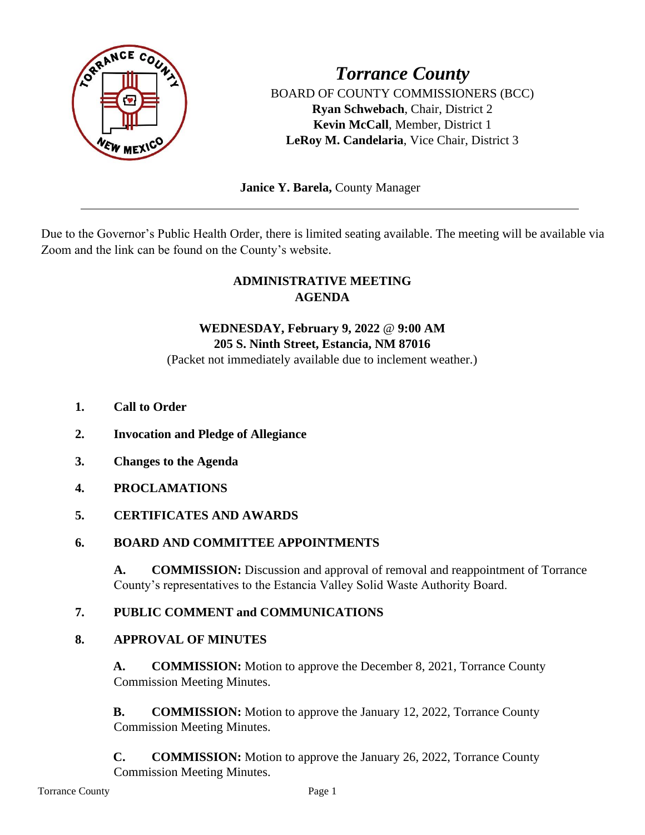

BOARD OF COUNTY COMMISSIONERS (BCC) **Ryan Schwebach**, Chair, District 2 **Kevin McCall**, Member, District 1 **LeRoy M. Candelaria**, Vice Chair, District 3

 **Janice Y. Barela,** County Manager

Due to the Governor's Public Health Order, there is limited seating available. The meeting will be available via Zoom and the link can be found on the County's website.

# **ADMINISTRATIVE MEETING AGENDA**

# **WEDNESDAY, February 9, 2022** @ **9:00 AM 205 S. Ninth Street, Estancia, NM 87016**

(Packet not immediately available due to inclement weather.)

- **1. Call to Order**
- **2. Invocation and Pledge of Allegiance**
- **3. Changes to the Agenda**
- **4. PROCLAMATIONS**

# **5. CERTIFICATES AND AWARDS**

# **6. BOARD AND COMMITTEE APPOINTMENTS**

**A. COMMISSION:** Discussion and approval of removal and reappointment of Torrance County's representatives to the Estancia Valley Solid Waste Authority Board.

# **7. PUBLIC COMMENT and COMMUNICATIONS**

#### **8. APPROVAL OF MINUTES**

**A. COMMISSION:** Motion to approve the December 8, 2021, Torrance County Commission Meeting Minutes.

**B. COMMISSION:** Motion to approve the January 12, 2022, Torrance County Commission Meeting Minutes.

**C. COMMISSION:** Motion to approve the January 26, 2022, Torrance County Commission Meeting Minutes.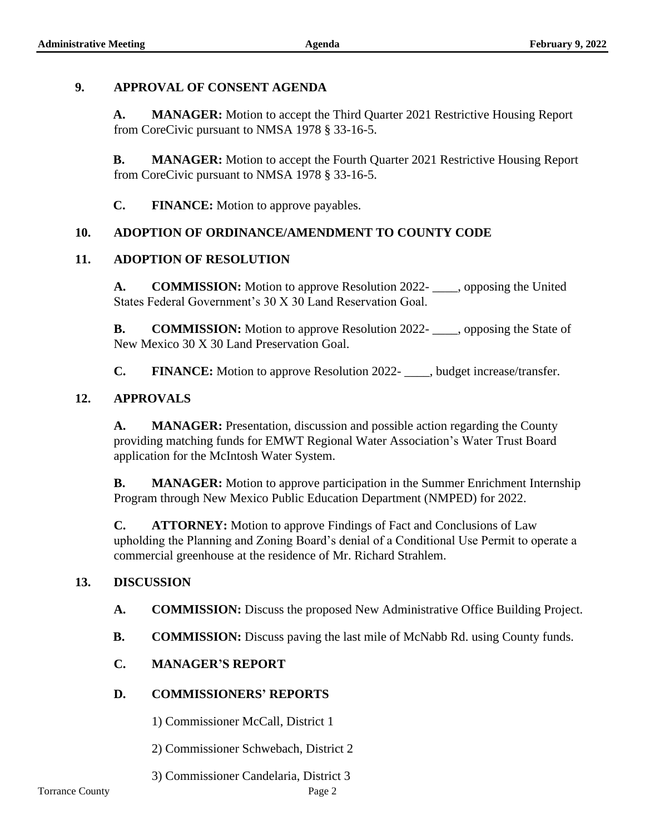## **9. APPROVAL OF CONSENT AGENDA**

**A. MANAGER:** Motion to accept the Third Quarter 2021 Restrictive Housing Report from CoreCivic pursuant to NMSA 1978 § 33-16-5.

**B. MANAGER:** Motion to accept the Fourth Quarter 2021 Restrictive Housing Report from CoreCivic pursuant to NMSA 1978 § 33-16-5.

**C. FINANCE:** Motion to approve payables.

### **10. ADOPTION OF ORDINANCE/AMENDMENT TO COUNTY CODE**

### **11. ADOPTION OF RESOLUTION**

**A. COMMISSION:** Motion to approve Resolution 2022- \_\_\_\_, opposing the United States Federal Government's 30 X 30 Land Reservation Goal.

**B. COMMISSION:** Motion to approve Resolution 2022- opposing the State of New Mexico 30 X 30 Land Preservation Goal.

**C. FINANCE:** Motion to approve Resolution 2022- , budget increase/transfer.

#### **12. APPROVALS**

**A. MANAGER:** Presentation, discussion and possible action regarding the County providing matching funds for EMWT Regional Water Association's Water Trust Board application for the McIntosh Water System.

**B. MANAGER:** Motion to approve participation in the Summer Enrichment Internship Program through New Mexico Public Education Department (NMPED) for 2022.

**C. ATTORNEY:** Motion to approve Findings of Fact and Conclusions of Law upholding the Planning and Zoning Board's denial of a Conditional Use Permit to operate a commercial greenhouse at the residence of Mr. Richard Strahlem.

#### **13. DISCUSSION**

**A. COMMISSION:** Discuss the proposed New Administrative Office Building Project.

**B. COMMISSION:** Discuss paving the last mile of McNabb Rd. using County funds.

# **C. MANAGER'S REPORT**

# **D. COMMISSIONERS' REPORTS**

1) Commissioner McCall, District 1

2) Commissioner Schwebach, District 2

3) Commissioner Candelaria, District 3